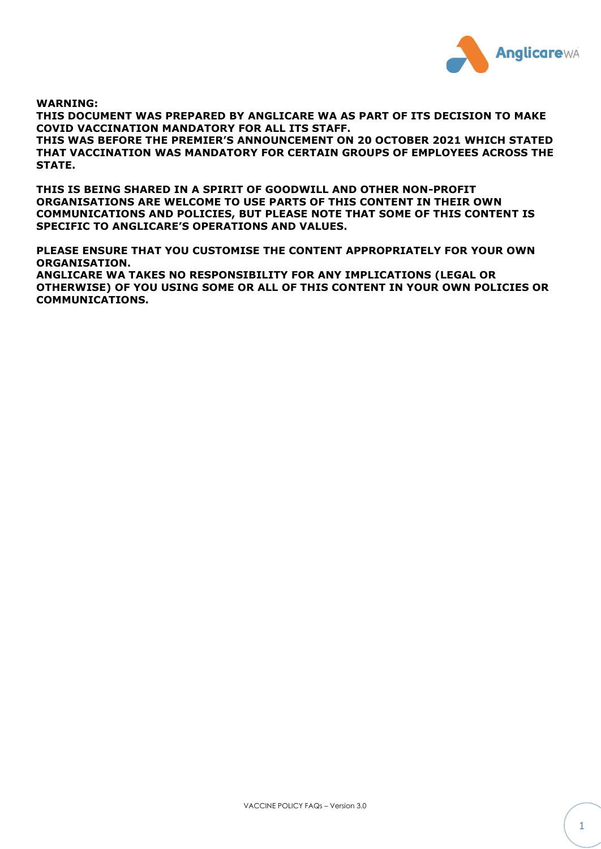

**WARNING:**

**THIS DOCUMENT WAS PREPARED BY ANGLICARE WA AS PART OF ITS DECISION TO MAKE COVID VACCINATION MANDATORY FOR ALL ITS STAFF.**

**THIS WAS BEFORE THE PREMIER'S ANNOUNCEMENT ON 20 OCTOBER 2021 WHICH STATED THAT VACCINATION WAS MANDATORY FOR CERTAIN GROUPS OF EMPLOYEES ACROSS THE STATE.**

**THIS IS BEING SHARED IN A SPIRIT OF GOODWILL AND OTHER NON-PROFIT ORGANISATIONS ARE WELCOME TO USE PARTS OF THIS CONTENT IN THEIR OWN COMMUNICATIONS AND POLICIES, BUT PLEASE NOTE THAT SOME OF THIS CONTENT IS SPECIFIC TO ANGLICARE'S OPERATIONS AND VALUES.**

**PLEASE ENSURE THAT YOU CUSTOMISE THE CONTENT APPROPRIATELY FOR YOUR OWN ORGANISATION.**

**ANGLICARE WA TAKES NO RESPONSIBILITY FOR ANY IMPLICATIONS (LEGAL OR OTHERWISE) OF YOU USING SOME OR ALL OF THIS CONTENT IN YOUR OWN POLICIES OR COMMUNICATIONS.**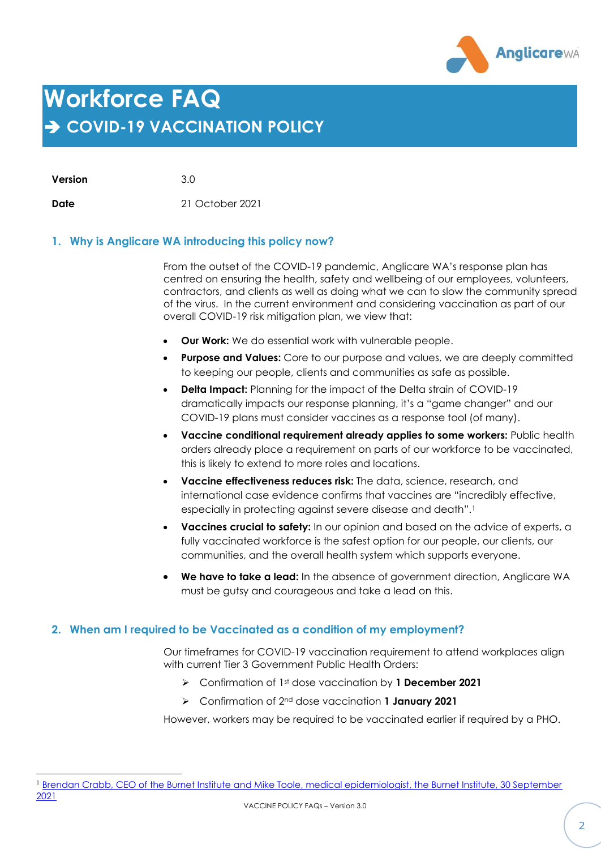

# **Workforce FAQ** ➔ **COVID-19 VACCINATION POLICY**

**Version** 3.0

**Date** 21 October 2021

# **1. Why is Anglicare WA introducing this policy now?**

From the outset of the COVID-19 pandemic, Anglicare WA's response plan has centred on ensuring the health, safety and wellbeing of our employees, volunteers, contractors, and clients as well as doing what we can to slow the community spread of the virus. In the current environment and considering vaccination as part of our overall COVID-19 risk mitigation plan, we view that:

- **Our Work:** We do essential work with vulnerable people.
- **Purpose and Values:** Core to our purpose and values, we are deeply committed to keeping our people, clients and communities as safe as possible.
- **Delta Impact:** Planning for the impact of the Delta strain of COVID-19 dramatically impacts our response planning, it's a "game changer" and our COVID-19 plans must consider vaccines as a response tool (of many).
- **Vaccine conditional requirement already applies to some workers:** Public health orders already place a requirement on parts of our workforce to be vaccinated, this is likely to extend to more roles and locations.
- **Vaccine effectiveness reduces risk:** The data, science, research, and international case evidence confirms that vaccines are "incredibly effective, especially in protecting against severe disease and death".<sup>1</sup>
- **Vaccines crucial to safety:** In our opinion and based on the advice of experts, a fully vaccinated workforce is the safest option for our people, our clients, our communities, and the overall health system which supports everyone.
- **We have to take a lead:** In the absence of government direction, Anglicare WA must be gutsy and courageous and take a lead on this.

# **2. When am I required to be Vaccinated as a condition of my employment?**

Our timeframes for COVID-19 vaccination requirement to attend workplaces align with current Tier 3 Government Public Health Orders:

- ➢ Confirmation of 1st dose vaccination by **1 December 2021**
- ➢ Confirmation of 2nd dose vaccination **1 January 2021**

However, workers may be required to be vaccinated earlier if required by a PHO.

<sup>&</sup>lt;sup>1</sup> Brendan Crabb, CEO of the Burnet Institute and Mike Toole, medical epidemiologist, the Burnet Institute, 30 September [2021](https://www.theage.com.au/national/victoria/overnight-spike-in-victorian-cases-another-hard-covid-19-lesson-20210930-p58w6o.html?fbclid=IwAR3Lv1WmKiEYfxPglJcLnau2cjePO23zy0QTTtf8bKr6shqWsr7uoqIhl1I)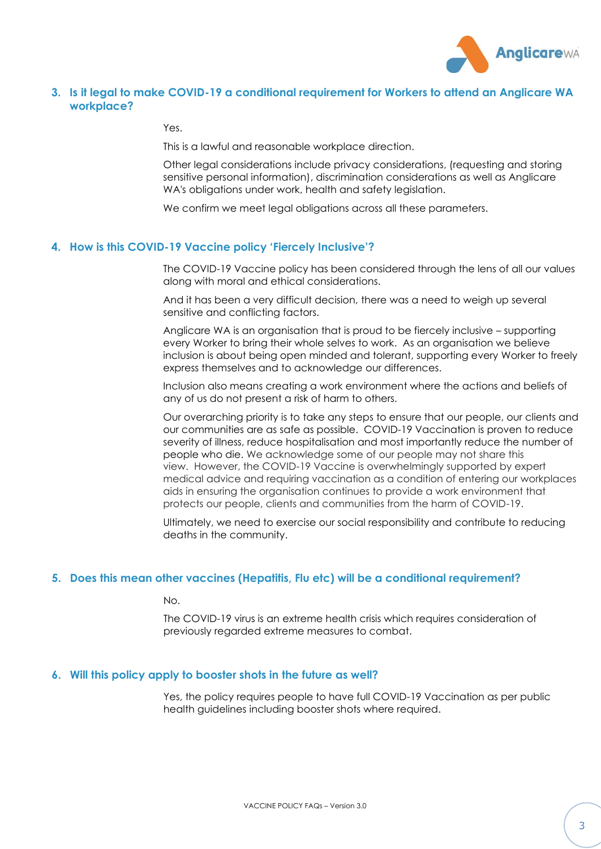

# **3. Is it legal to make COVID-19 a conditional requirement for Workers to attend an Anglicare WA workplace?**

Yes.

This is a lawful and reasonable workplace direction.

Other legal considerations include privacy considerations, (requesting and storing sensitive personal information), discrimination considerations as well as Anglicare WA's obligations under work, health and safety legislation.

We confirm we meet legal obligations across all these parameters.

## **4. How is this COVID-19 Vaccine policy 'Fiercely Inclusive'?**

The COVID-19 Vaccine policy has been considered through the lens of all our values along with moral and ethical considerations.

And it has been a very difficult decision, there was a need to weigh up several sensitive and conflicting factors.

Anglicare WA is an organisation that is proud to be fiercely inclusive – supporting every Worker to bring their whole selves to work. As an organisation we believe inclusion is about being open minded and tolerant, supporting every Worker to freely express themselves and to acknowledge our differences.

Inclusion also means creating a work environment where the actions and beliefs of any of us do not present a risk of harm to others.

Our overarching priority is to take any steps to ensure that our people, our clients and our communities are as safe as possible. COVID-19 Vaccination is proven to reduce severity of illness, reduce hospitalisation and most importantly reduce the number of people who die. We acknowledge some of our people may not share this view. However, the COVID-19 Vaccine is overwhelmingly supported by expert medical advice and requiring vaccination as a condition of entering our workplaces aids in ensuring the organisation continues to provide a work environment that protects our people, clients and communities from the harm of COVID-19.

Ultimately, we need to exercise our social responsibility and contribute to reducing deaths in the community.

#### **5. Does this mean other vaccines (Hepatitis, Flu etc) will be a conditional requirement?**

No.

The COVID-19 virus is an extreme health crisis which requires consideration of previously regarded extreme measures to combat.

### **6. Will this policy apply to booster shots in the future as well?**

Yes, the policy requires people to have full COVID-19 Vaccination as per public health guidelines including booster shots where required.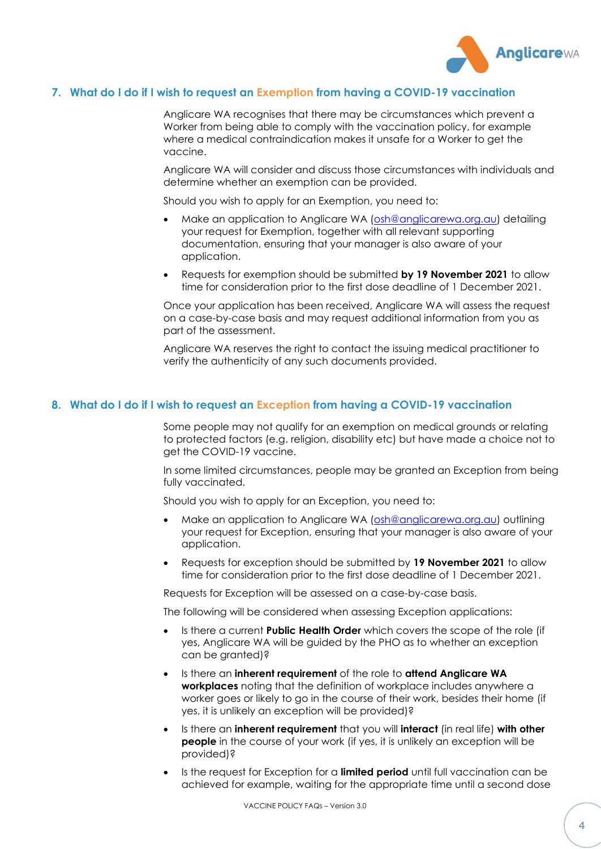

# **7. What do I do if I wish to request an Exemption from having a COVID-19 vaccination**

Anglicare WA recognises that there may be circumstances which prevent a Worker from being able to comply with the vaccination policy, for example where a medical contraindication makes it unsafe for a Worker to get the vaccine.

Anglicare WA will consider and discuss those circumstances with individuals and determine whether an exemption can be provided.

Should you wish to apply for an Exemption, you need to:

- Make an application to Anglicare WA [\(osh@anglicarewa.org.au\)](mailto:osh@anglicarewa.org.au) detailing your request for Exemption, together with all relevant supporting documentation, ensuring that your manager is also aware of your application.
- Requests for exemption should be submitted **by 19 November 2021** to allow time for consideration prior to the first dose deadline of 1 December 2021.

Once your application has been received, Anglicare WA will assess the request on a case-by-case basis and may request additional information from you as part of the assessment.

Anglicare WA reserves the right to contact the issuing medical practitioner to verify the authenticity of any such documents provided.

## **8. What do I do if I wish to request an Exception from having a COVID-19 vaccination**

Some people may not qualify for an exemption on medical grounds or relating to protected factors (e.g. religion, disability etc) but have made a choice not to get the COVID-19 vaccine.

In some limited circumstances, people may be granted an Exception from being fully vaccinated.

Should you wish to apply for an Exception, you need to:

- Make an application to Anglicare WA [\(osh@anglicarewa.org.au\)](mailto:osh@anglicarewa.org.au) outlining your request for Exception, ensuring that your manager is also aware of your application.
- Requests for exception should be submitted by **19 November 2021** to allow time for consideration prior to the first dose deadline of 1 December 2021.

Requests for Exception will be assessed on a case-by-case basis.

The following will be considered when assessing Exception applications:

- Is there a current **Public Health Order** which covers the scope of the role (if yes, Anglicare WA will be guided by the PHO as to whether an exception can be granted)?
- Is there an **inherent requirement** of the role to **attend Anglicare WA workplaces** noting that the definition of workplace includes anywhere a worker goes or likely to go in the course of their work, besides their home (if yes, it is unlikely an exception will be provided)?
- Is there an **inherent requirement** that you will **interact** (in real life) **with other people** in the course of your work (if yes, it is unlikely an exception will be provided)?
- Is the request for Exception for a **limited period** until full vaccination can be achieved for example, waiting for the appropriate time until a second dose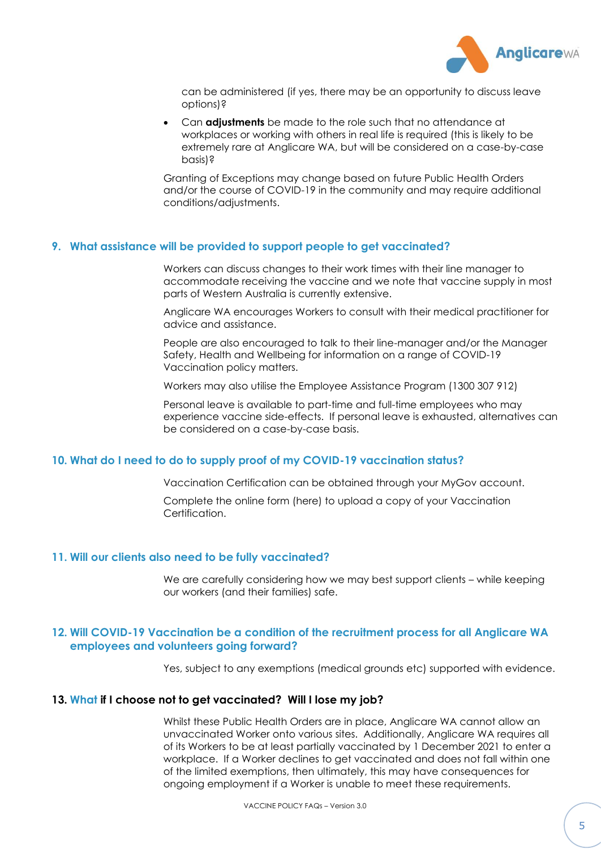

can be administered (if yes, there may be an opportunity to discuss leave options)?

• Can **adjustments** be made to the role such that no attendance at workplaces or working with others in real life is required (this is likely to be extremely rare at Anglicare WA, but will be considered on a case-by-case basis)?

Granting of Exceptions may change based on future Public Health Orders and/or the course of COVID-19 in the community and may require additional conditions/adjustments.

## **9. What assistance will be provided to support people to get vaccinated?**

Workers can discuss changes to their work times with their line manager to accommodate receiving the vaccine and we note that vaccine supply in most parts of Western Australia is currently extensive.

Anglicare WA encourages Workers to consult with their medical practitioner for advice and assistance.

People are also encouraged to talk to their line-manager and/or the Manager Safety, Health and Wellbeing for information on a range of COVID-19 Vaccination policy matters.

Workers may also utilise the Employee Assistance Program (1300 307 912)

Personal leave is available to part-time and full-time employees who may experience vaccine side-effects. If personal leave is exhausted, alternatives can be considered on a case-by-case basis.

# **10. What do I need to do to supply proof of my COVID-19 vaccination status?**

Vaccination Certification can be obtained through your MyGov account.

Complete the online form (here) to upload a copy of your Vaccination Certification.

#### **11. Will our clients also need to be fully vaccinated?**

We are carefully considering how we may best support clients – while keeping our workers (and their families) safe.

# **12. Will COVID-19 Vaccination be a condition of the recruitment process for all Anglicare WA employees and volunteers going forward?**

Yes, subject to any exemptions (medical grounds etc) supported with evidence.

#### **13. What if I choose not to get vaccinated? Will I lose my job?**

Whilst these Public Health Orders are in place, Anglicare WA cannot allow an unvaccinated Worker onto various sites. Additionally, Anglicare WA requires all of its Workers to be at least partially vaccinated by 1 December 2021 to enter a workplace. If a Worker declines to get vaccinated and does not fall within one of the limited exemptions, then ultimately, this may have consequences for ongoing employment if a Worker is unable to meet these requirements.